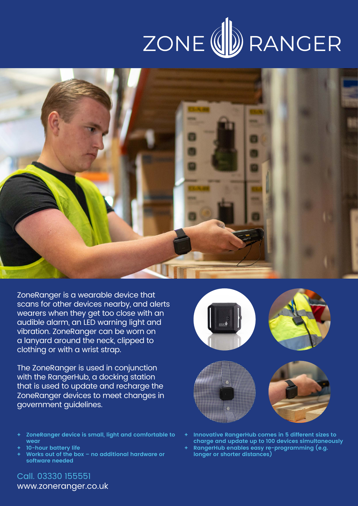## ZONE (U) RANGER



ZoneRanger is a wearable device that scans for other devices nearby, and alerts wearers when they get too close with an audible alarm, an LED warning light and vibration. ZoneRanger can be worn on a lanyard around the neck, clipped to clothing or with a wrist strap.

The ZoneRanger is used in conjunction with the RangerHub, a docking station that is used to update and recharge the ZoneRanger devices to meet changes in government guidelines.

- **+ ZoneRanger device is small, light and comfortable to wear**
- **+ 10-hour battery life**
- **+ Works out of the box no additional hardware or software needed**



- **+ Innovative RangerHub comes in 5 different sizes to charge and update up to 100 devices simultaneously**
- **+ RangerHub enables easy re-programming (e.g. longer or shorter distances)**

#### Call. 03330 155551 www.zoneranger.co.uk